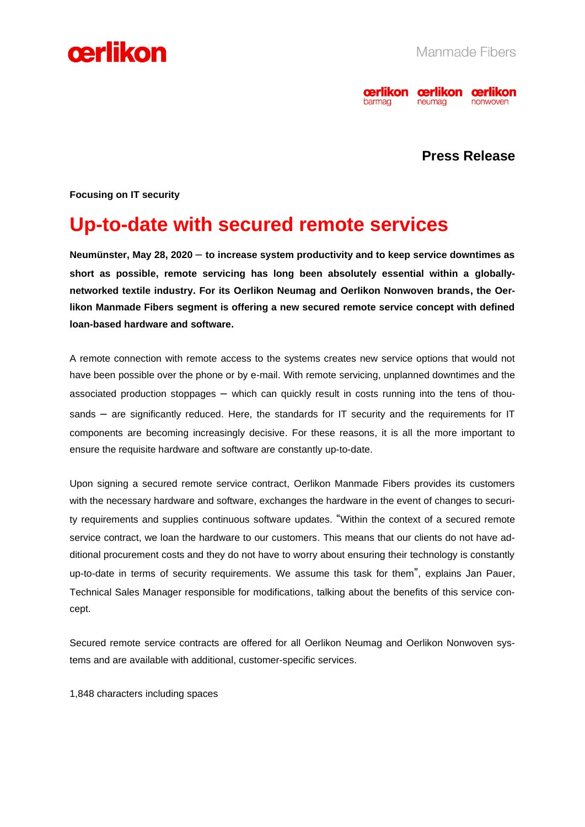



# **Press Release**

**Focusing on IT security**

# **Up-to-date with secured remote services**

**Neumünster, May 28, 2020** – **to increase system productivity and to keep service downtimes as short as possible, remote servicing has long been absolutely essential within a globallynetworked textile industry. For its Oerlikon Neumag and Oerlikon Nonwoven brands, the Oerlikon Manmade Fibers segment is offering a new secured remote service concept with defined loan-based hardware and software.**

A remote connection with remote access to the systems creates new service options that would not have been possible over the phone or by e-mail. With remote servicing, unplanned downtimes and the associated production stoppages – which can quickly result in costs running into the tens of thousands – are significantly reduced. Here, the standards for IT security and the requirements for IT components are becoming increasingly decisive. For these reasons, it is all the more important to ensure the requisite hardware and software are constantly up-to-date.

Upon signing a secured remote service contract, Oerlikon Manmade Fibers provides its customers with the necessary hardware and software, exchanges the hardware in the event of changes to security requirements and supplies continuous software updates. "Within the context of a secured remote service contract, we loan the hardware to our customers. This means that our clients do not have additional procurement costs and they do not have to worry about ensuring their technology is constantly up-to-date in terms of security requirements. We assume this task for them", explains Jan Pauer, Technical Sales Manager responsible for modifications, talking about the benefits of this service concept.

Secured remote service contracts are offered for all Oerlikon Neumag and Oerlikon Nonwoven systems and are available with additional, customer-specific services.

1,848 characters including spaces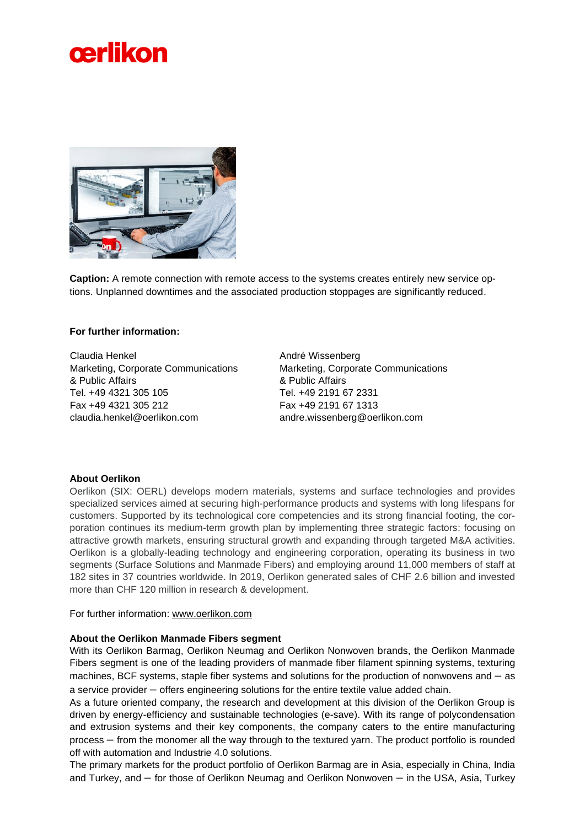



**Caption:** A remote connection with remote access to the systems creates entirely new service options. Unplanned downtimes and the associated production stoppages are significantly reduced.

## **For further information:**

Claudia Henkel Marketing, Corporate Communications & Public Affairs Tel. +49 4321 305 105 Fax +49 4321 305 212 claudia.henkel@oerlikon.com

André Wissenberg Marketing, Corporate Communications & Public Affairs Tel. +49 2191 67 2331 Fax +49 2191 67 1313 andre.wissenberg@oerlikon.com

### **About Oerlikon**

Oerlikon (SIX: OERL) develops modern materials, systems and surface technologies and provides specialized services aimed at securing high-performance products and systems with long lifespans for customers. Supported by its technological core competencies and its strong financial footing, the corporation continues its medium-term growth plan by implementing three strategic factors: focusing on attractive growth markets, ensuring structural growth and expanding through targeted M&A activities. Oerlikon is a globally-leading technology and engineering corporation, operating its business in two segments (Surface Solutions and Manmade Fibers) and employing around 11,000 members of staff at 182 sites in 37 countries worldwide. In 2019, Oerlikon generated sales of CHF 2.6 billion and invested more than CHF 120 million in research & development.

For further information: [www.oerlikon.com](http://www.oerlikon.com/)

#### **About the Oerlikon Manmade Fibers segment**

With its Oerlikon Barmag, Oerlikon Neumag and Oerlikon Nonwoven brands, the Oerlikon Manmade Fibers segment is one of the leading providers of manmade fiber filament spinning systems, texturing machines, BCF systems, staple fiber systems and solutions for the production of nonwovens and – as a service provider – offers engineering solutions for the entire textile value added chain.

As a future oriented company, the research and development at this division of the Oerlikon Group is driven by energy-efficiency and sustainable technologies (e-save). With its range of polycondensation and extrusion systems and their key components, the company caters to the entire manufacturing process – from the monomer all the way through to the textured yarn. The product portfolio is rounded off with automation and Industrie 4.0 solutions.

The primary markets for the product portfolio of Oerlikon Barmag are in Asia, especially in China, India and Turkey, and – for those of Oerlikon Neumag and Oerlikon Nonwoven – in the USA, Asia, Turkey